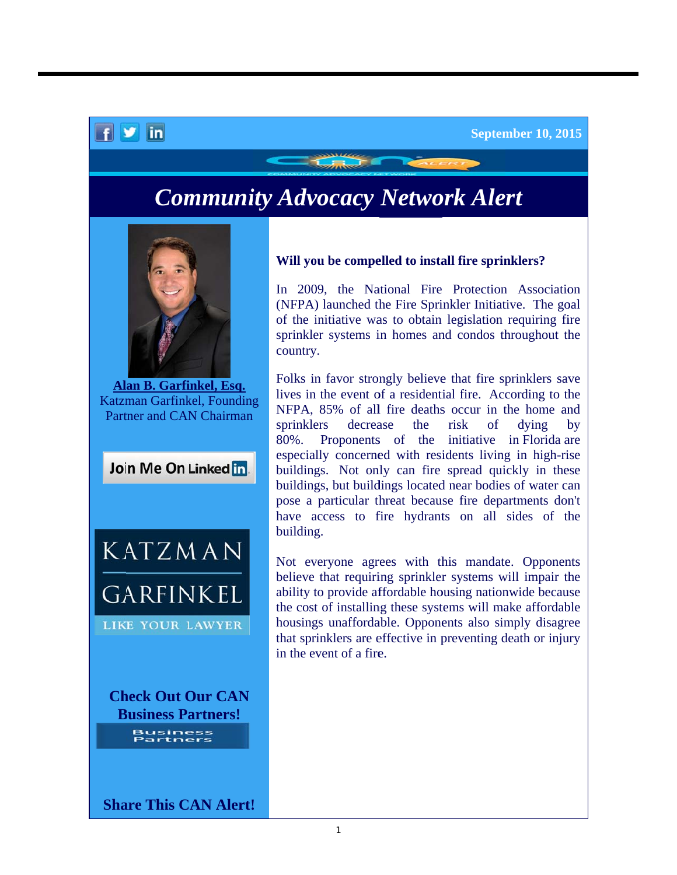## **Community Advocacy Network Alert**



 $f \times in$ 

Alan B. Garfinkel, Esq. Katzman Garfinkel, Founding Partner and CAN Chairman





**Check Out Our CAN Business Partners! Business<br>Partners** 

Will you be compelled to install fire sprinklers?

In 2009, the National Fire Protection Association (NFPA) launched the Fire Sprinkler Initiative. The goal of the initiative was to obtain legislation requiring fire sprinkler systems in homes and condos throughout the country.

Folks in favor strongly believe that fire sprinklers save lives in the event of a residential fire. According to the NFPA, 85% of all fire deaths occur in the home and sprinklers decrease the risk of dying by 80%. Proponents of the initiative in Florida are especially concerned with residents living in high-rise buildings. Not only can fire spread quickly in these buildings, but buildings located near bodies of water can pose a particular threat because fire departments don't have access to fire hydrants on all sides of the building.

Not everyone agrees with this mandate. Opponents believe that requiring sprinkler systems will impair the ability to provide affordable housing nationwide because the cost of installing these systems will make affordable housings unaffordable. Opponents also simply disagree that sprinklers are effective in preventing death or injury in the event of a fire.

**Share This CAN Alert!**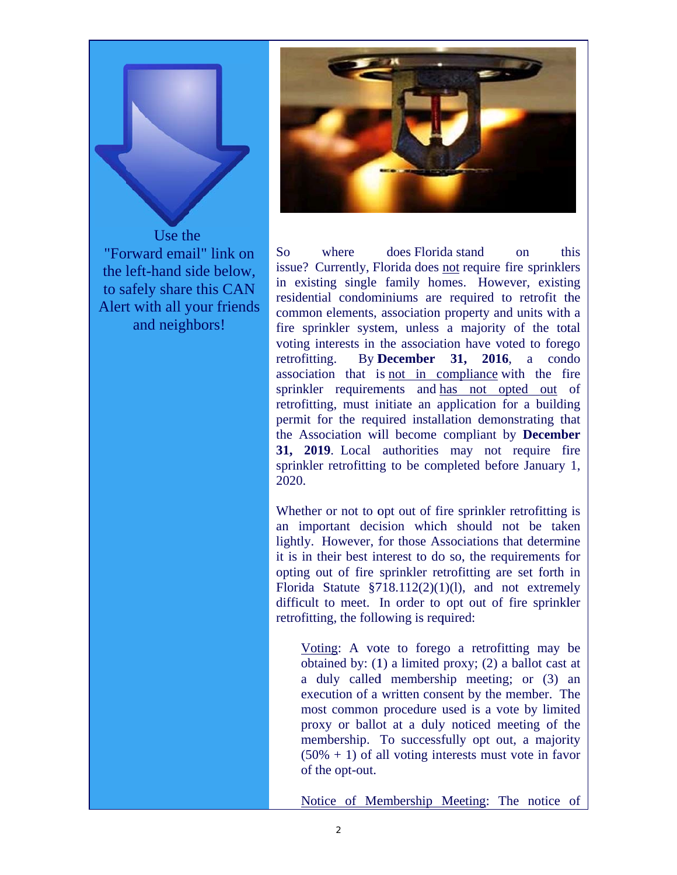

"Forward email" link on the left-hand side below. to safely share this CAN Alert with all your friends and neighbors!



 $S<sub>0</sub>$ where does Florida stand  $\alpha$ this issue? Currently, Florida does not require fire sprinklers in existing single family homes. However, existing residential condominiums are required to retrofit the common elements, association property and units with a fire sprinkler system, unless a majority of the total voting interests in the association have voted to forego By December  $31, 2016, a$  condo retrofitting. association that is not in compliance with the fire sprinkler requirements and has not opted out of retrofitting, must initiate an application for a building permit for the required installation demonstrating that the Association will become compliant by December 31, 2019. Local authorities may not require fire sprinkler retrofitting to be completed before January 1,  $2020$ 

Whether or not to opt out of fire sprinkler retrofitting is an important decision which should not be taken lightly. However, for those Associations that determine it is in their best interest to do so, the requirements for opting out of fire sprinkler retrofitting are set forth in Florida Statute  $$718.112(2)(1)(1)$ , and not extremely difficult to meet. In order to opt out of fire sprinkler retrofitting, the following is required:

Voting: A vote to forego a retrofitting may be obtained by:  $(1)$  a limited proxy;  $(2)$  a ballot cast at a duly called membership meeting; or (3) an execution of a written consent by the member. The most common procedure used is a vote by limited proxy or ballot at a duly noticed meeting of the membership. To successfully opt out, a majority  $(50\% + 1)$  of all voting interests must vote in favor of the opt-out.

Notice of Membership Meeting: The notice of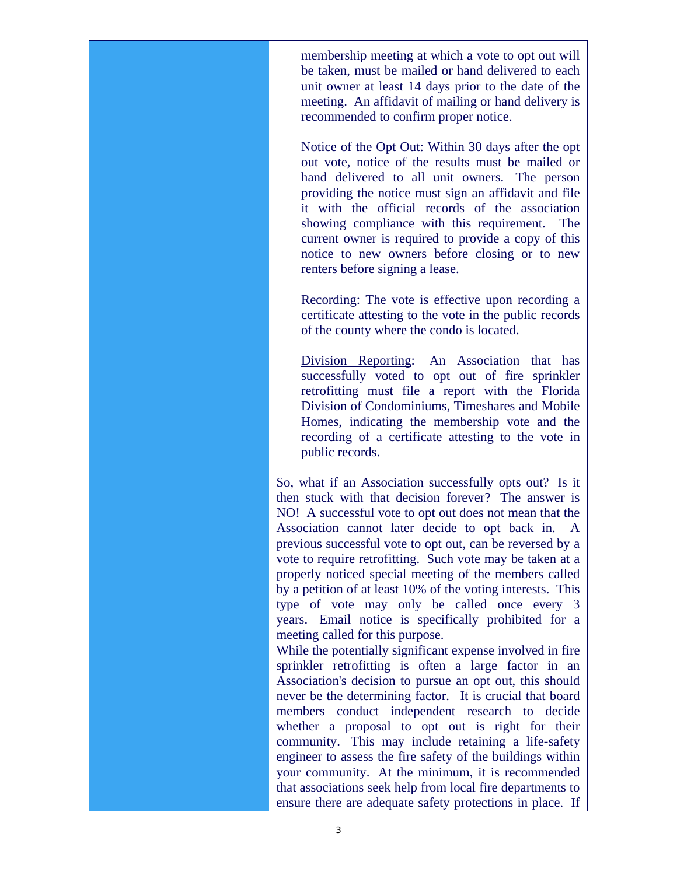membership meeting at which a vote to opt out will be taken, must be mailed or hand delivered to each unit owner at least 14 days prior to the date of the meeting. An affidavit of mailing or hand delivery is recommended to confirm proper notice.

Notice of the Opt Out: Within 30 days after the opt out vote, notice of the results must be mailed or hand delivered to all unit owners. The person providing the notice must sign an affidavit and file it with the official records of the association showing compliance with this requirement. The current owner is required to provide a copy of this notice to new owners before closing or to new renters before signing a lease.

Recording: The vote is effective upon recording a certificate attesting to the vote in the public records of the county where the condo is located.

Division Reporting: An Association that has successfully voted to opt out of fire sprinkler retrofitting must file a report with the Florida Division of Condominiums, Timeshares and Mobile Homes, indicating the membership vote and the recording of a certificate attesting to the vote in public records.

So, what if an Association successfully opts out? Is it then stuck with that decision forever? The answer is NO! A successful vote to opt out does not mean that the Association cannot later decide to opt back in. A previous successful vote to opt out, can be reversed by a vote to require retrofitting. Such vote may be taken at a properly noticed special meeting of the members called by a petition of at least 10% of the voting interests. This type of vote may only be called once every 3 years. Email notice is specifically prohibited for a meeting called for this purpose.

While the potentially significant expense involved in fire sprinkler retrofitting is often a large factor in an Association's decision to pursue an opt out, this should never be the determining factor. It is crucial that board members conduct independent research to decide whether a proposal to opt out is right for their community. This may include retaining a life-safety engineer to assess the fire safety of the buildings within your community. At the minimum, it is recommended that associations seek help from local fire departments to ensure there are adequate safety protections in place. If